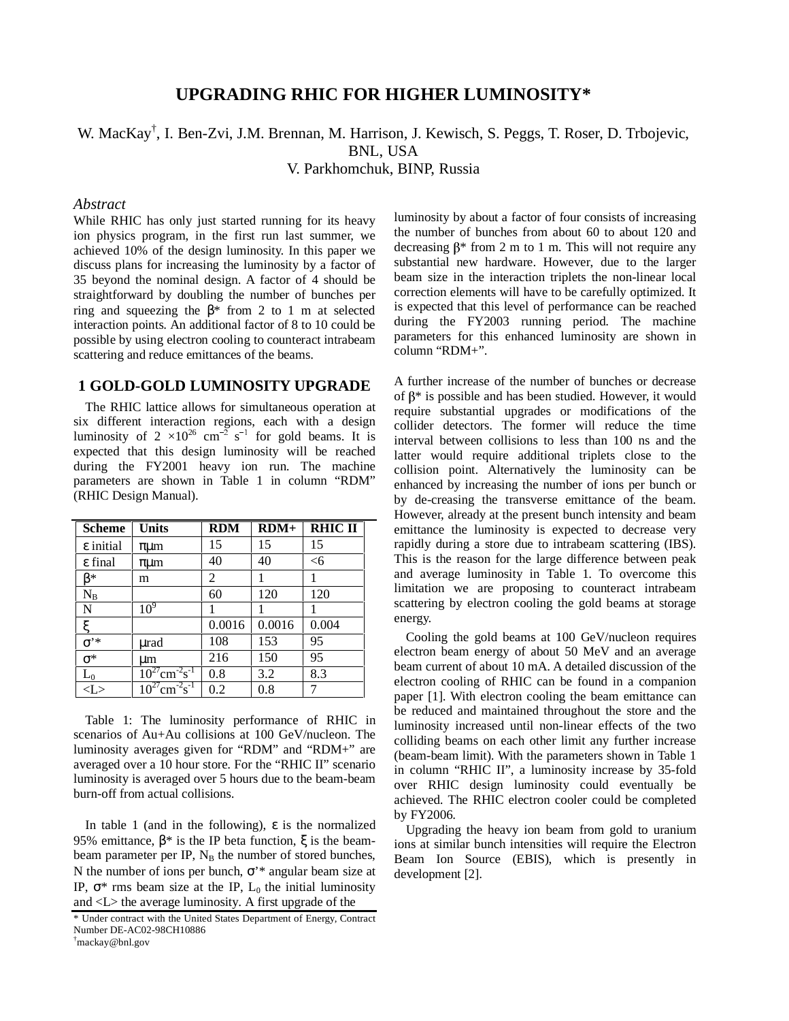# **UPGRADING RHIC FOR HIGHER LUMINOSITY\***

W. MacKay<sup>†</sup>, I. Ben-Zvi, J.M. Brennan, M. Harrison, J. Kewisch, S. Peggs, T. Roser, D. Trbojevic,

BNL, USA

V. Parkhomchuk, BINP, Russia

### *Abstract*

While RHIC has only just started running for its heavy ion physics program, in the first run last summer, we achieved 10% of the design luminosity. In this paper we discuss plans for increasing the luminosity by a factor of 35 beyond the nominal design. A factor of 4 should be straightforward by doubling the number of bunches per ring and squeezing the  $\beta$ <sup>\*</sup> from 2 to 1 m at selected interaction points. An additional factor of 8 to 10 could be possible by using electron cooling to counteract intrabeam scattering and reduce emittances of the beams.

### **1 GOLD-GOLD LUMINOSITY UPGRADE**

The RHIC lattice allows for simultaneous operation at six different interaction regions, each with a design luminosity of  $2 \times 10^{26}$  cm<sup>-2</sup> s<sup>-1</sup> for gold beams. It is expected that this design luminosity will be reached during the FY2001 heavy ion run. The machine parameters are shown in Table 1 in column "RDM" (RHIC Design Manual).

| <b>Scheme</b>       | <b>Units</b>        | <b>RDM</b> | $RDM+$ | <b>RHIC II</b> |
|---------------------|---------------------|------------|--------|----------------|
| ε initial           | $\pi \mu m$         | 15         | 15     | 15             |
| ε final             | $\pi \mu m$         | 40         | 40     | $<$ 6          |
| R*                  | m                   | 2          |        |                |
| $N_B$               |                     | 60         | 120    | 120            |
| N                   | 10 <sup>9</sup>     |            |        |                |
| ع                   |                     | 0.0016     | 0.0016 | 0.004          |
| $\sigma^{\text{*}}$ | urad                | 108        | 153    | 95             |
| $\sigma^*$          | um                  | 216        | 150    | 95             |
| $L_0$               | $-2 - 1$<br>$cm-$ s | 0.8        | 3.2    | 8.3            |
|                     |                     | 0.2        | 0.8    |                |

Table 1: The luminosity performance of RHIC in scenarios of Au+Au collisions at 100 GeV/nucleon. The luminosity averages given for "RDM" and "RDM+" are averaged over a 10 hour store. For the "RHIC II" scenario luminosity is averaged over 5 hours due to the beam-beam burn-off from actual collisions.

In table 1 (and in the following),  $\varepsilon$  is the normalized 95% emittance,  $\beta^*$  is the IP beta function,  $\xi$  is the beambeam parameter per IP,  $N_B$  the number of stored bunches, N the number of ions per bunch, σ'\* angular beam size at IP,  $\sigma^*$  rms beam size at the IP,  $L_0$  the initial luminosity and <L> the average luminosity. A first upgrade of the

luminosity by about a factor of four consists of increasing the number of bunches from about 60 to about 120 and decreasing  $\beta^*$  from 2 m to 1 m. This will not require any substantial new hardware. However, due to the larger beam size in the interaction triplets the non-linear local correction elements will have to be carefully optimized. It is expected that this level of performance can be reached during the FY2003 running period. The machine parameters for this enhanced luminosity are shown in column "RDM+".

A further increase of the number of bunches or decrease of  $\beta^*$  is possible and has been studied. However, it would require substantial upgrades or modifications of the collider detectors. The former will reduce the time interval between collisions to less than 100 ns and the latter would require additional triplets close to the collision point. Alternatively the luminosity can be enhanced by increasing the number of ions per bunch or by de-creasing the transverse emittance of the beam. However, already at the present bunch intensity and beam emittance the luminosity is expected to decrease very rapidly during a store due to intrabeam scattering (IBS). This is the reason for the large difference between peak and average luminosity in Table 1. To overcome this limitation we are proposing to counteract intrabeam scattering by electron cooling the gold beams at storage energy.

Cooling the gold beams at 100 GeV/nucleon requires electron beam energy of about 50 MeV and an average beam current of about 10 mA. A detailed discussion of the electron cooling of RHIC can be found in a companion paper [1]. With electron cooling the beam emittance can be reduced and maintained throughout the store and the luminosity increased until non-linear effects of the two colliding beams on each other limit any further increase (beam-beam limit). With the parameters shown in Table 1 in column "RHIC II", a luminosity increase by 35-fold over RHIC design luminosity could eventually be achieved. The RHIC electron cooler could be completed by FY2006.

Upgrading the heavy ion beam from gold to uranium ions at similar bunch intensities will require the Electron Beam Ion Source (EBIS), which is presently in development [2].

<sup>\*</sup> Under contract with the United States Department of Energy, Contract Number DE-AC02-98CH10886

<sup>†</sup> mackay@bnl.gov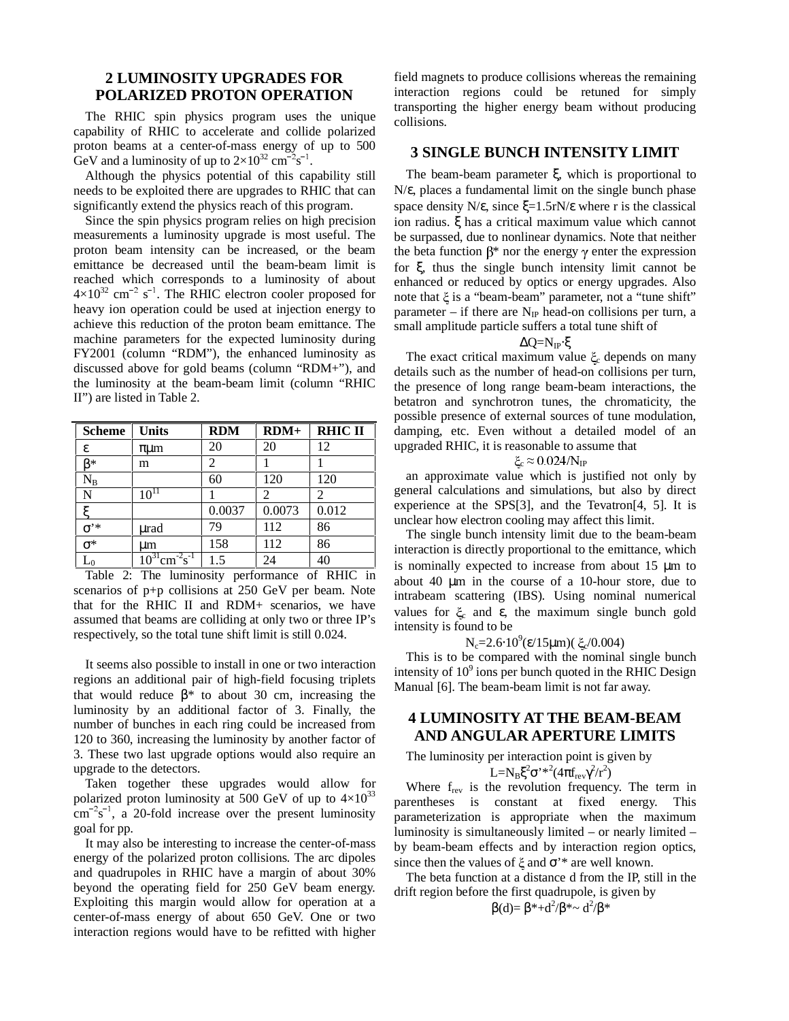## **2 LUMINOSITY UPGRADES FOR POLARIZED PROTON OPERATION**

The RHIC spin physics program uses the unique capability of RHIC to accelerate and collide polarized proton beams at a center-of-mass energy of up to 500 GeV and a luminosity of up to  $2 \times 10^{32}$  cm<sup>-2</sup>s<sup>-1</sup>.

Although the physics potential of this capability still needs to be exploited there are upgrades to RHIC that can significantly extend the physics reach of this program.

Since the spin physics program relies on high precision measurements a luminosity upgrade is most useful. The proton beam intensity can be increased, or the beam emittance be decreased until the beam-beam limit is reached which corresponds to a luminosity of about  $4\times10^{32}$  cm<sup>-2</sup> s<sup>-1</sup>. The RHIC electron cooler proposed for heavy ion operation could be used at injection energy to achieve this reduction of the proton beam emittance. The machine parameters for the expected luminosity during FY2001 (column "RDM"), the enhanced luminosity as discussed above for gold beams (column "RDM+"), and the luminosity at the beam-beam limit (column "RHIC II") are listed in Table 2.

| <b>Scheme</b>  | <b>Units</b>   | <b>RDM</b> | $RDM+$         | <b>RHIC II</b> |
|----------------|----------------|------------|----------------|----------------|
| ε              | $\pi \mu m$    | 20         | 20             | 12             |
| ß*             | m              | 2          |                |                |
| $\rm N_B$      |                | 60         | 120            | 120            |
| N              | $10^{11}$      |            | $\mathfrak{D}$ | 2              |
| ٣              |                | 0.0037     | 0.0073         | 0.012          |
| σ'*            | urad           | 79         | 112            | 86             |
| $\sigma^*$     | um             | 158        | 112            | 86             |
| $\mathsf{L}_0$ | $-2 - 1$<br>cm | 1.5        | 24             | 40             |

Table 2: The luminosity performance of RHIC in scenarios of p+p collisions at 250 GeV per beam. Note that for the RHIC II and RDM+ scenarios, we have assumed that beams are colliding at only two or three IP's respectively, so the total tune shift limit is still 0.024.

It seems also possible to install in one or two interaction regions an additional pair of high-field focusing triplets that would reduce  $β*$  to about 30 cm, increasing the luminosity by an additional factor of 3. Finally, the number of bunches in each ring could be increased from 120 to 360, increasing the luminosity by another factor of 3. These two last upgrade options would also require an upgrade to the detectors.

Taken together these upgrades would allow for polarized proton luminosity at 500 GeV of up to  $4\times10^{33}$  $\text{cm}^{-2}\text{s}^{-1}$ , a 20-fold increase over the present luminosity goal for pp.

It may also be interesting to increase the center-of-mass energy of the polarized proton collisions. The arc dipoles and quadrupoles in RHIC have a margin of about 30% beyond the operating field for 250 GeV beam energy. Exploiting this margin would allow for operation at a center-of-mass energy of about 650 GeV. One or two interaction regions would have to be refitted with higher field magnets to produce collisions whereas the remaining interaction regions could be retuned for simply transporting the higher energy beam without producing collisions.

#### **3 SINGLE BUNCH INTENSITY LIMIT**

The beam-beam parameter ξ, which is proportional to N/ε, places a fundamental limit on the single bunch phase space density N/ $\varepsilon$ , since  $\xi$ =1.5rN/ $\varepsilon$  where r is the classical ion radius. ξ has a critical maximum value which cannot be surpassed, due to nonlinear dynamics. Note that neither the beta function  $\beta^*$  nor the energy  $\gamma$  enter the expression for ξ, thus the single bunch intensity limit cannot be enhanced or reduced by optics or energy upgrades. Also note that  $\xi$  is a "beam-beam" parameter, not a "tune shift" parameter – if there are  $N_{IP}$  head-on collisions per turn, a small amplitude particle suffers a total tune shift of

$$
\Delta Q{=}N_{IP}{\cdot}\xi
$$

The exact critical maximum value  $\zeta_c$  depends on many details such as the number of head-on collisions per turn, the presence of long range beam-beam interactions, the betatron and synchrotron tunes, the chromaticity, the possible presence of external sources of tune modulation, damping, etc. Even without a detailed model of an upgraded RHIC, it is reasonable to assume that

$$
\xi_c \approx 0.024/N_{IP}
$$

an approximate value which is justified not only by general calculations and simulations, but also by direct experience at the SPS[3], and the Tevatron[4, 5]. It is unclear how electron cooling may affect this limit.

The single bunch intensity limit due to the beam-beam interaction is directly proportional to the emittance, which is nominally expected to increase from about 15 µm to about 40 µm in the course of a 10-hour store, due to intrabeam scattering (IBS). Using nominal numerical values for  $ξ$  and  $ε$ , the maximum single bunch gold intensity is found to be

 $N_c$ =2.6⋅10<sup>9</sup>(ε/15μm)( ξ<sub>ε</sub>/0.004)

This is to be compared with the nominal single bunch intensity of  $10^9$  ions per bunch quoted in the RHIC Design Manual [6]. The beam-beam limit is not far away.

## **4 LUMINOSITY AT THE BEAM-BEAM AND ANGULAR APERTURE LIMITS**

The luminosity per interaction point is given by

L=N<sub>B</sub> $\xi^2 \sigma^{\prime *}^2 (4\pi f_{rev} \gamma^2/r^2)$ 

Where  $f_{rev}$  is the revolution frequency. The term in parentheses is constant at fixed energy. This parameterization is appropriate when the maximum luminosity is simultaneously limited – or nearly limited – by beam-beam effects and by interaction region optics, since then the values of  $\xi$  and  $\sigma$ <sup>\*</sup> are well known.

The beta function at a distance d from the IP, still in the drift region before the first quadrupole, is given by

 $\beta$ (d)= β<sup>\*</sup>+d<sup>2</sup>/β<sup>\*</sup>~ d<sup>2</sup>/β<sup>\*</sup>